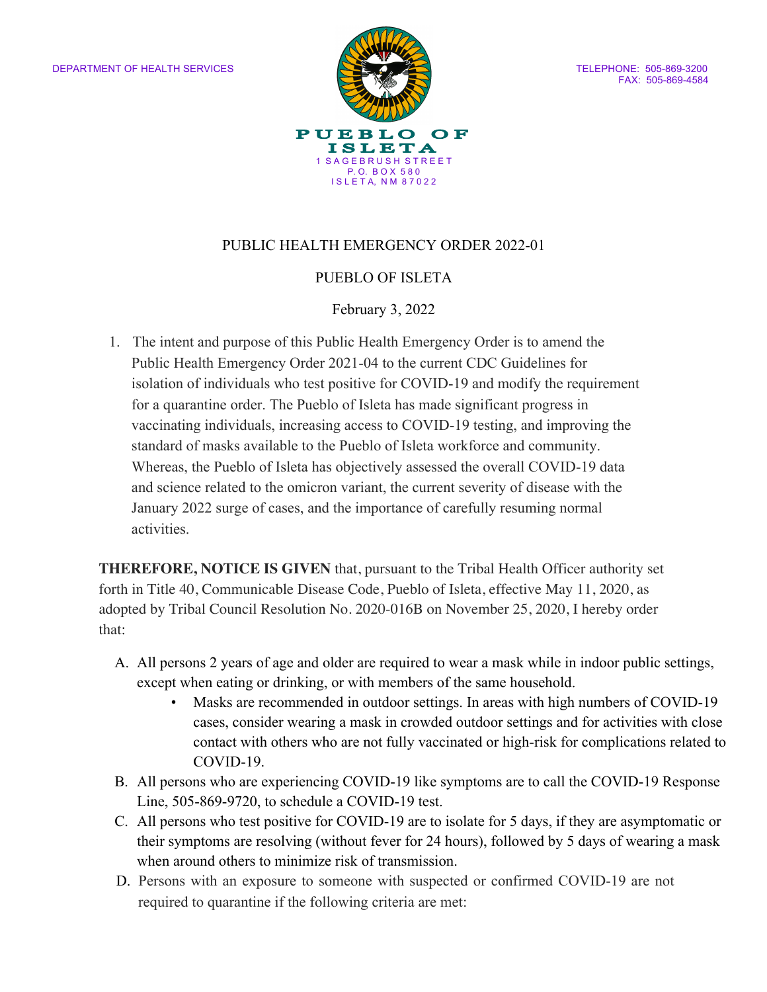

FAX: 505-869-4584

## PUBLIC HEALTH EMERGENCY ORDER 2022-01

## PUEBLO OF ISLETA

#### February 3, 2022

1. The intent and purpose of this Public Health Emergency Order is to amend the Public Health Emergency Order 2021-04 to the current CDC Guidelines for isolation of individuals who test positive for COVID-19 and modify the requirement for a quarantine order. The Pueblo of Isleta has made significant progress in vaccinating individuals, increasing access to COVID-19 testing, and improving the standard of masks available to the Pueblo of Isleta workforce and community. Whereas, the Pueblo of Isleta has objectively assessed the overall COVID-19 data and science related to the omicron variant, the current severity of disease with the January 2022 surge of cases, and the importance of carefully resuming normal activities.

**THEREFORE, NOTICE IS GIVEN** that, pursuant to the Tribal Health Officer authority set forth in Title 40, Communicable Disease Code, Pueblo of Isleta, effective May 11, 2020, as adopted by Tribal Council Resolution No. 2020-016B on November 25, 2020, I hereby order that:

- A. All persons 2 years of age and older are required to wear a mask while in indoor public settings, except when eating or drinking, or with members of the same household.
	- Masks are recommended in outdoor settings. In areas with high numbers of COVID-19 cases, consider wearing a mask in crowded outdoor settings and for activities with close contact with others who are not fully vaccinated or high-risk for complications related to COVID-19.
- B. All persons who are experiencing COVID-19 like symptoms are to call the COVID-19 Response Line, 505-869-9720, to schedule a COVID-19 test.
- C. All persons who test positive for COVID-19 are to isolate for 5 days, if they are asymptomatic or their symptoms are resolving (without fever for 24 hours), followed by 5 days of wearing a mask when around others to minimize risk of transmission.
- D. Persons with an exposure to someone with suspected or confirmed COVID-19 are not required to quarantine if the following criteria are met: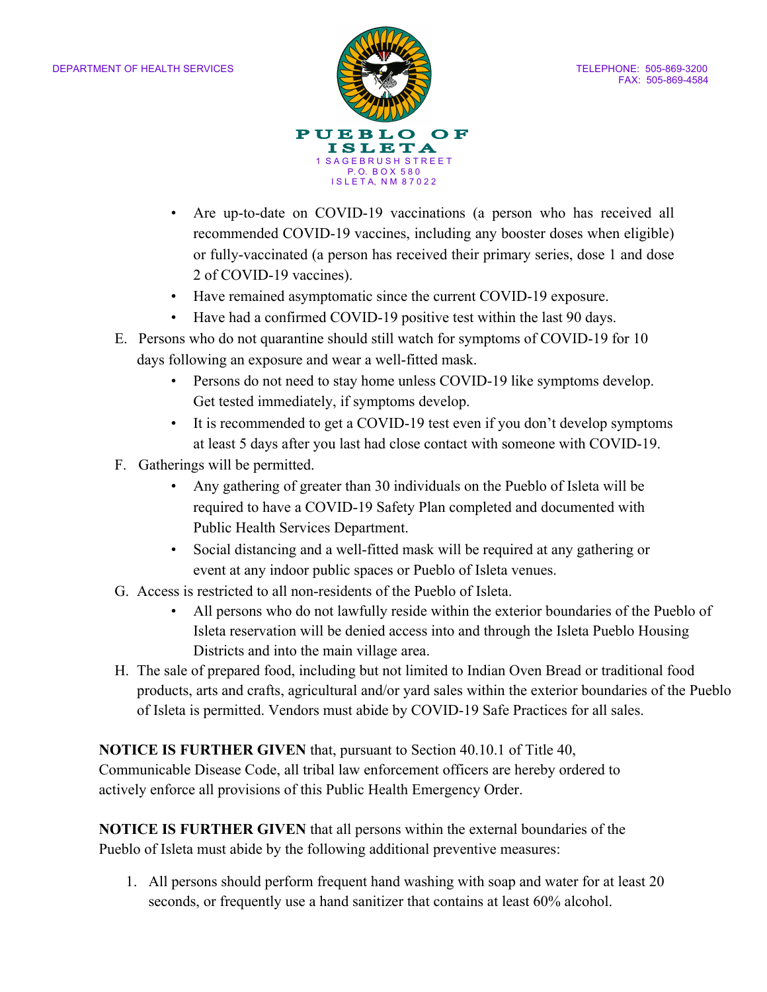

- Are up-to-date on COVID-19 vaccinations (a person who has received all recommended COVID-19 vaccines, including any booster doses when eligible) or fully-vaccinated (a person has received their primary series, dose 1 and dose 2 of COVID-19 vaccines).
- Have remained asymptomatic since the current COVID-19 exposure.
- Have had a confirmed COVID-19 positive test within the last 90 days.
- E. Persons who do not quarantine should still watch for symptoms of COVID-19 for 10 days following an exposure and wear a well-fitted mask.
	- Persons do not need to stay home unless COVID-19 like symptoms develop. Get tested immediately, if symptoms develop.
	- It is recommended to get a COVID-19 test even if you don't develop symptoms at least 5 days after you last had close contact with someone with COVID-19.
- F. Gatherings will be permitted.
	- Any gathering of greater than 30 individuals on the Pueblo of Isleta will be required to have a COVID-19 Safety Plan completed and documented with Public Health Services Department.
	- Social distancing and a well-fitted mask will be required at any gathering or event at any indoor public spaces or Pueblo of Isleta venues.
- G. Access is restricted to all non-residents of the Pueblo of Isleta.
	- All persons who do not lawfully reside within the exterior boundaries of the Pueblo of Isleta reservation will be denied access into and through the Isleta Pueblo Housing Districts and into the main village area.
- H. The sale of prepared food, including but not limited to Indian Oven Bread or traditional food products, arts and crafts, agricultural and/or yard sales within the exterior boundaries of the Pueblo of Isleta is permitted. Vendors must abide by COVID-19 Safe Practices for all sales.

## **NOTICE IS FURTHER GIVEN** that, pursuant to Section 40.10.1 of Title 40,

Communicable Disease Code, all tribal law enforcement officers are hereby ordered to actively enforce all provisions of this Public Health Emergency Order.

**NOTICE IS FURTHER GIVEN** that all persons within the external boundaries of the Pueblo of Isleta must abide by the following additional preventive measures:

1. All persons should perform frequent hand washing with soap and water for at least 20 seconds, or frequently use a hand sanitizer that contains at least 60% alcohol.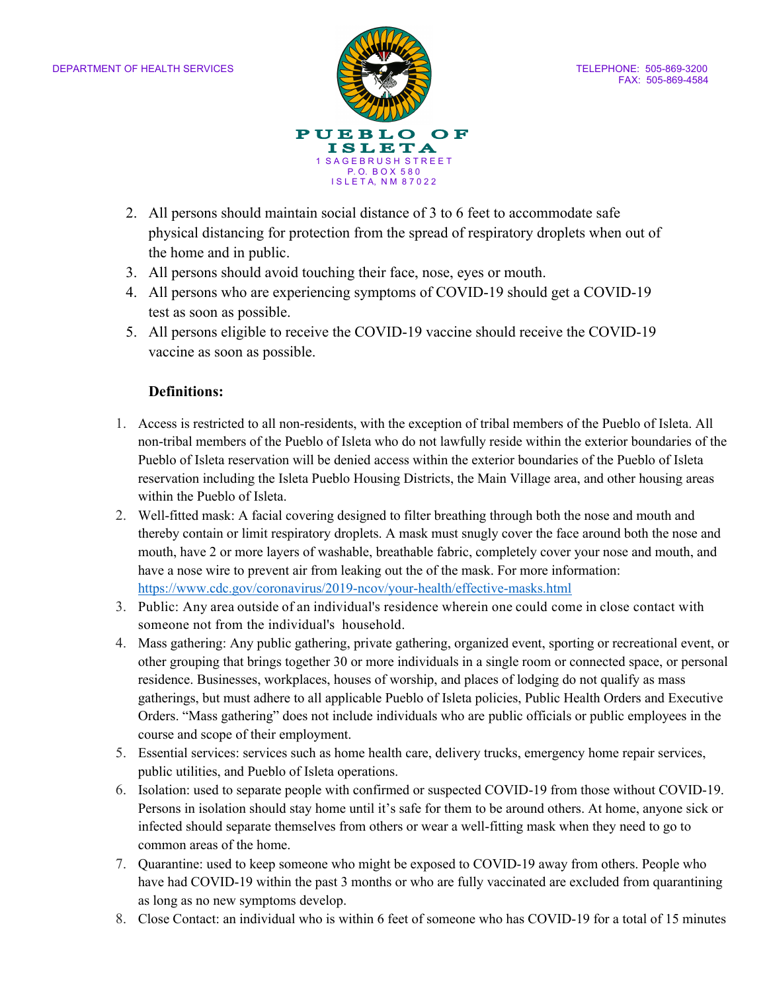

- 2. All persons should maintain social distance of 3 to 6 feet to accommodate safe physical distancing for protection from the spread of respiratory droplets when out of the home and in public.
- 3. All persons should avoid touching their face, nose, eyes or mouth.
- 4. All persons who are experiencing symptoms of COVID-19 should get a COVID-19 test as soon as possible.
- 5. All persons eligible to receive the COVID-19 vaccine should receive the COVID-19 vaccine as soon as possible.

## **Definitions:**

- 1. Access is restricted to all non-residents, with the exception of tribal members of the Pueblo of Isleta. All non-tribal members of the Pueblo of Isleta who do not lawfully reside within the exterior boundaries of the Pueblo of Isleta reservation will be denied access within the exterior boundaries of the Pueblo of Isleta reservation including the Isleta Pueblo Housing Districts, the Main Village area, and other housing areas within the Pueblo of Isleta.
- 2. Well-fitted mask: A facial covering designed to filter breathing through both the nose and mouth and thereby contain or limit respiratory droplets. A mask must snugly cover the face around both the nose and mouth, have 2 or more layers of washable, breathable fabric, completely cover your nose and mouth, and have a nose wire to prevent air from leaking out the of the mask. For more information: https://www.cdc.gov/coronavirus/2019-ncov/your-health/effective-masks.html
- 3. Public: Any area outside of an individual's residence wherein one could come in close contact with someone not from the individual's household.
- 4. Mass gathering: Any public gathering, private gathering, organized event, sporting or recreational event, or other grouping that brings together 30 or more individuals in a single room or connected space, or personal residence. Businesses, workplaces, houses of worship, and places of lodging do not qualify as mass gatherings, but must adhere to all applicable Pueblo of Isleta policies, Public Health Orders and Executive Orders. "Mass gathering" does not include individuals who are public officials or public employees in the course and scope of their employment.
- 5. Essential services: services such as home health care, delivery trucks, emergency home repair services, public utilities, and Pueblo of Isleta operations.
- 6. Isolation: used to separate people with confirmed or suspected COVID-19 from those without COVID-19. Persons in isolation should stay home until it's safe for them to be around others. At home, anyone sick or infected should separate themselves from others or wear a well-fitting mask when they need to go to common areas of the home.
- 7. Quarantine: used to keep someone who might be exposed to COVID-19 away from others. People who have had COVID-19 within the past 3 months or who are fully vaccinated are excluded from quarantining as long as no new symptoms develop.
- 8. Close Contact: an individual who is within 6 feet of someone who has COVID-19 for a total of 15 minutes